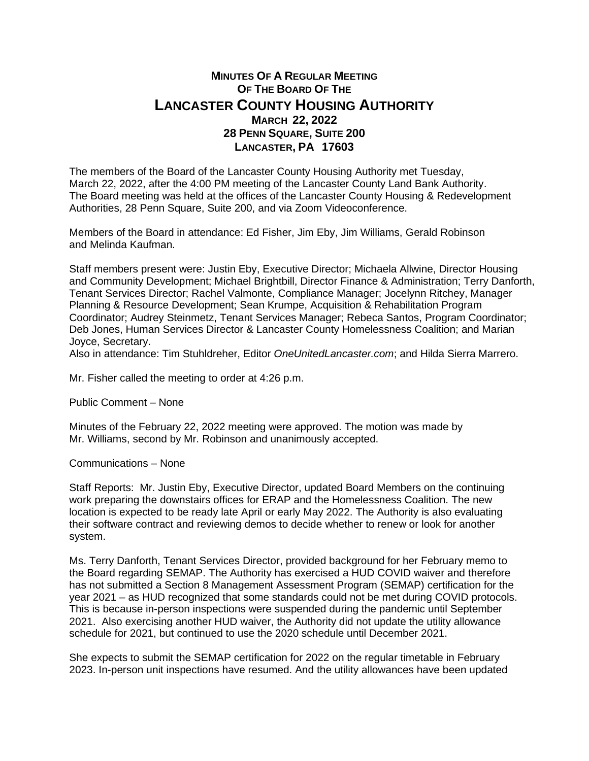## **MINUTES OF A REGULAR MEETING OF THE BOARD OF THE LANCASTER COUNTY HOUSING AUTHORITY MARCH 22, 2022 28 PENN SQUARE, SUITE 200 LANCASTER, PA 17603**

The members of the Board of the Lancaster County Housing Authority met Tuesday, March 22, 2022, after the 4:00 PM meeting of the Lancaster County Land Bank Authority. The Board meeting was held at the offices of the Lancaster County Housing & Redevelopment Authorities, 28 Penn Square, Suite 200, and via Zoom Videoconference.

Members of the Board in attendance: Ed Fisher, Jim Eby, Jim Williams, Gerald Robinson and Melinda Kaufman.

Staff members present were: Justin Eby, Executive Director; Michaela Allwine, Director Housing and Community Development; Michael Brightbill, Director Finance & Administration; Terry Danforth, Tenant Services Director; Rachel Valmonte, Compliance Manager; Jocelynn Ritchey, Manager Planning & Resource Development; Sean Krumpe, Acquisition & Rehabilitation Program Coordinator; Audrey Steinmetz, Tenant Services Manager; Rebeca Santos, Program Coordinator; Deb Jones, Human Services Director & Lancaster County Homelessness Coalition; and Marian Joyce, Secretary.

Also in attendance: Tim Stuhldreher, Editor *OneUnitedLancaster.com*; and Hilda Sierra Marrero.

Mr. Fisher called the meeting to order at 4:26 p.m.

Public Comment – None

Minutes of the February 22, 2022 meeting were approved. The motion was made by Mr. Williams, second by Mr. Robinson and unanimously accepted.

Communications – None

Staff Reports: Mr. Justin Eby, Executive Director, updated Board Members on the continuing work preparing the downstairs offices for ERAP and the Homelessness Coalition. The new location is expected to be ready late April or early May 2022. The Authority is also evaluating their software contract and reviewing demos to decide whether to renew or look for another system.

Ms. Terry Danforth, Tenant Services Director, provided background for her February memo to the Board regarding SEMAP. The Authority has exercised a HUD COVID waiver and therefore has not submitted a Section 8 Management Assessment Program (SEMAP) certification for the year 2021 – as HUD recognized that some standards could not be met during COVID protocols. This is because in-person inspections were suspended during the pandemic until September 2021. Also exercising another HUD waiver, the Authority did not update the utility allowance schedule for 2021, but continued to use the 2020 schedule until December 2021.

She expects to submit the SEMAP certification for 2022 on the regular timetable in February 2023. In-person unit inspections have resumed. And the utility allowances have been updated